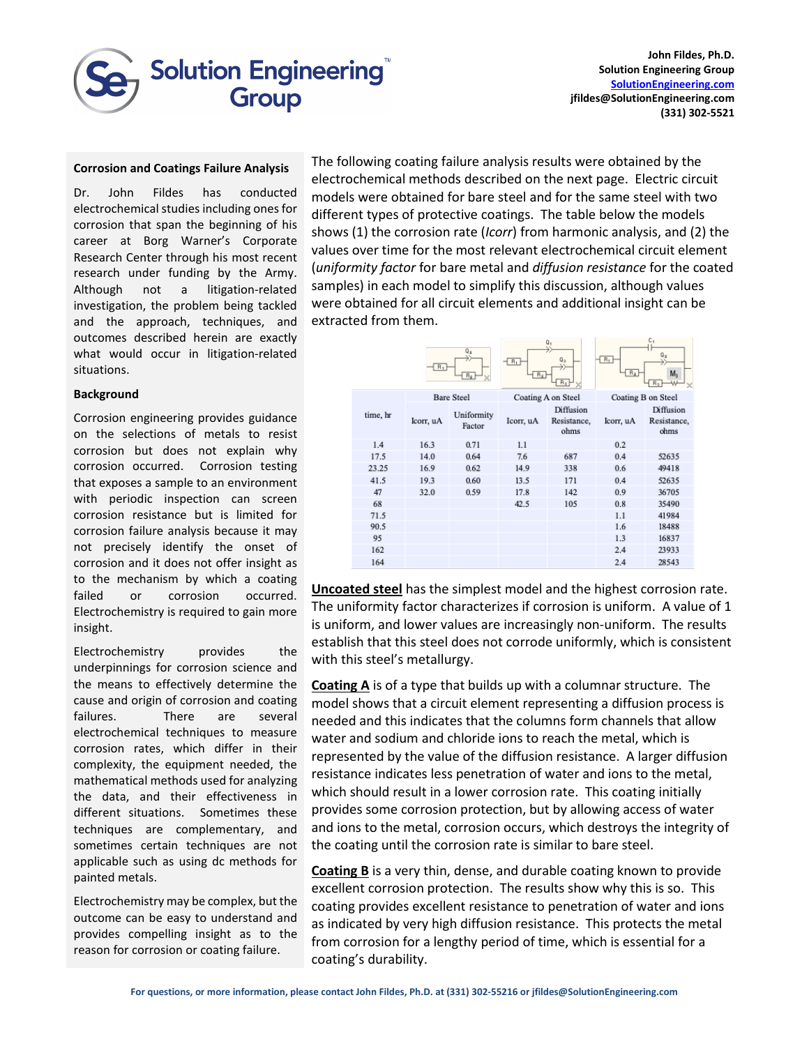

## **Corrosion and Coatings Failure Analysis**

Dr. John Fildes has conducted electrochemical studies including ones for corrosion that span the beginning of his career at Borg Warner's Corporate Research Center through his most recent research under funding by the Army. Although not a litigation-related investigation, the problem being tackled and the approach, techniques, and outcomes described herein are exactly what would occur in litigation-related situations.

## **Background**

Corrosion engineering provides guidance on the selections of metals to resist corrosion but does not explain why corrosion occurred. Corrosion testing that exposes a sample to an environment with periodic inspection can screen corrosion resistance but is limited for corrosion failure analysis because it may not precisely identify the onset of corrosion and it does not offer insight as to the mechanism by which a coating failed or corrosion occurred. Electrochemistry is required to gain more insight.

Electrochemistry provides the underpinnings for corrosion science and the means to effectively determine the cause and origin of corrosion and coating failures. There are several electrochemical techniques to measure corrosion rates, which differ in their complexity, the equipment needed, the mathematical methods used for analyzing the data, and their effectiveness in different situations. Sometimes these techniques are complementary, and sometimes certain techniques are not applicable such as using dc methods for painted metals.

Electrochemistry may be complex, but the outcome can be easy to understand and provides compelling insight as to the reason for corrosion or coating failure.

The following coating failure analysis results were obtained by the electrochemical methods described on the next page. Electric circuit models were obtained for bare steel and for the same steel with two different types of protective coatings. The table below the models shows (1) the corrosion rate (*Icorr*) from harmonic analysis, and (2) the values over time for the most relevant electrochemical circuit element (*uniformity factor* for bare metal and *diffusion resistance* for the coated samples) in each model to simplify this discussion, although values were obtained for all circuit elements and additional insight can be extracted from them.

| $Q_{2}$<br>$R_1$<br>R <sub>2</sub> |                   |                      | $Q_1$<br>$Q_{\rm 3}$<br>$-R_1$<br>$R_2$<br>$R_3$ |                                  | L.<br>Q <sub>2</sub><br>$R_1$<br>R <sub>2</sub><br>M <sub>3</sub><br>14.<br>$R_{A}$ |                                  |
|------------------------------------|-------------------|----------------------|--------------------------------------------------|----------------------------------|-------------------------------------------------------------------------------------|----------------------------------|
|                                    | <b>Bare Steel</b> |                      | Coating A on Steel                               |                                  | Coating B on Steel                                                                  |                                  |
| time, hr                           | Icorr, uA         | Uniformity<br>Factor | Icorr, uA                                        | Diffusion<br>Resistance,<br>ohms | Icorr, uA                                                                           | Diffusion<br>Resistance,<br>ohms |
| 1.4                                | 16.3              | 0.71                 | 1.1                                              |                                  | 0.2                                                                                 |                                  |
| 17.5                               | 14.0              | 0.64                 | 7.6                                              | 687                              | 0.4                                                                                 | 52635                            |
| 23.25                              | 16.9              | 0.62                 | 14.9                                             | 338                              | 0.6                                                                                 | 49418                            |
| 41.5                               | 19.3              | 0.60                 | 13.5                                             | 171                              | 0.4                                                                                 | 52635                            |
| 47                                 | 32.0              | 0.59                 | 17.8                                             | 142                              | 0.9                                                                                 | 36705                            |
| 68                                 |                   |                      | 42.5                                             | 105                              | 0.8                                                                                 | 35490                            |
| 71.5                               |                   |                      |                                                  |                                  | 1.1                                                                                 | 41984                            |
| 90.5                               |                   |                      |                                                  |                                  | 1.6                                                                                 | 18488                            |
| 95                                 |                   |                      |                                                  |                                  | 1.3                                                                                 | 16837                            |
| 162                                |                   |                      |                                                  |                                  | 2.4                                                                                 | 23933                            |
| 164                                |                   |                      |                                                  |                                  | 2.4                                                                                 | 28543                            |

**Uncoated steel** has the simplest model and the highest corrosion rate. The uniformity factor characterizes if corrosion is uniform. A value of 1 is uniform, and lower values are increasingly non-uniform. The results establish that this steel does not corrode uniformly, which is consistent with this steel's metallurgy.

**Coating A** is of a type that builds up with a columnar structure. The model shows that a circuit element representing a diffusion process is needed and this indicates that the columns form channels that allow water and sodium and chloride ions to reach the metal, which is represented by the value of the diffusion resistance. A larger diffusion resistance indicates less penetration of water and ions to the metal, which should result in a lower corrosion rate. This coating initially provides some corrosion protection, but by allowing access of water and ions to the metal, corrosion occurs, which destroys the integrity of the coating until the corrosion rate is similar to bare steel.

**Coating B** is a very thin, dense, and durable coating known to provide excellent corrosion protection. The results show why this is so. This coating provides excellent resistance to penetration of water and ions as indicated by very high diffusion resistance. This protects the metal from corrosion for a lengthy period of time, which is essential for a coating's durability.